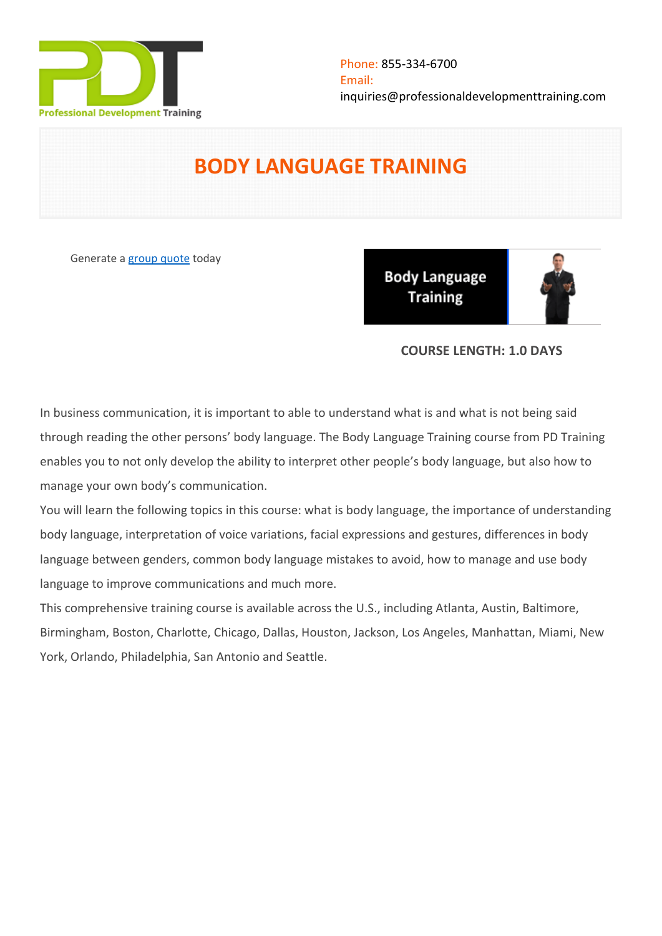

# **BODY LANGUAGE TRAINING**

Generate a [group quote](https://professionaldevelopmenttraining.com/inhouse-training-quote?cse=PDT0140) today

**Body Language Training** 



# **COURSE LENGTH: 1.0 DAYS**

In business communication, it is important to able to understand what is and what is not being said through reading the other persons' body language. The Body Language Training course from PD Training enables you to not only develop the ability to interpret other people's body language, but also how to manage your own body's communication.

You will learn the following topics in this course: what is body language, the importance of understanding body language, interpretation of voice variations, facial expressions and gestures, differences in body language between genders, common body language mistakes to avoid, how to manage and use body language to improve communications and much more.

This comprehensive training course is available across the U.S., including Atlanta, Austin, Baltimore, Birmingham, Boston, Charlotte, Chicago, Dallas, Houston, Jackson, Los Angeles, Manhattan, Miami, New York, Orlando, Philadelphia, San Antonio and Seattle.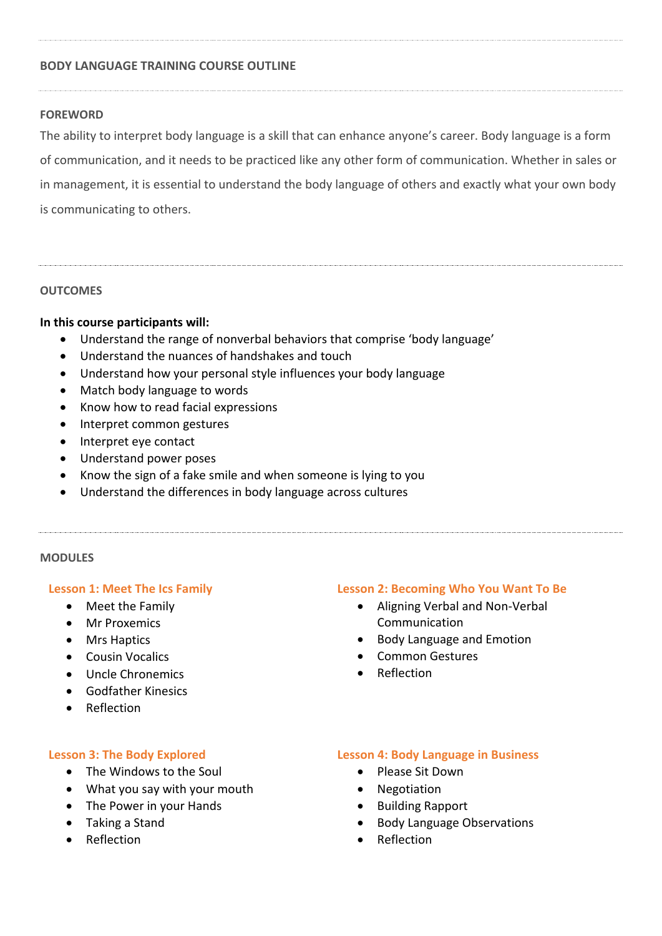## **BODY LANGUAGE TRAINING COURSE OUTLINE**

## **FOREWORD**

The ability to interpret body language is a skill that can enhance anyone's career. Body language is a form of communication, and it needs to be practiced like any other form of communication. Whether in sales or in management, it is essential to understand the body language of others and exactly what your own body is communicating to others.

#### **OUTCOMES**

## **In this course participants will:**

- Understand the range of nonverbal behaviors that comprise 'body language'
- Understand the nuances of handshakes and touch
- Understand how your personal style influences your body language
- Match body language to words
- Know how to read facial expressions
- Interpret common gestures
- Interpret eye contact
- Understand power poses
- Know the sign of a fake smile and when someone is lying to you
- Understand the differences in body language across cultures

### **MODULES**

#### **Lesson 1: Meet The Ics Family**

- Meet the Family
- Mr Proxemics
- Mrs Haptics
- Cousin Vocalics
- Uncle Chronemics
- **•** Godfather Kinesics
- Reflection

#### **Lesson 3: The Body Explored**

- The Windows to the Soul
- What you say with your mouth
- The Power in your Hands
- Taking a Stand
- **•** Reflection

#### **Lesson 2: Becoming Who You Want To Be**

- Aligning Verbal and Non-Verbal Communication
- Body Language and Emotion
- Common Gestures
- Reflection

#### **Lesson 4: Body Language in Business**

- Please Sit Down
- Negotiation
- Building Rapport
- Body Language Observations
- Reflection